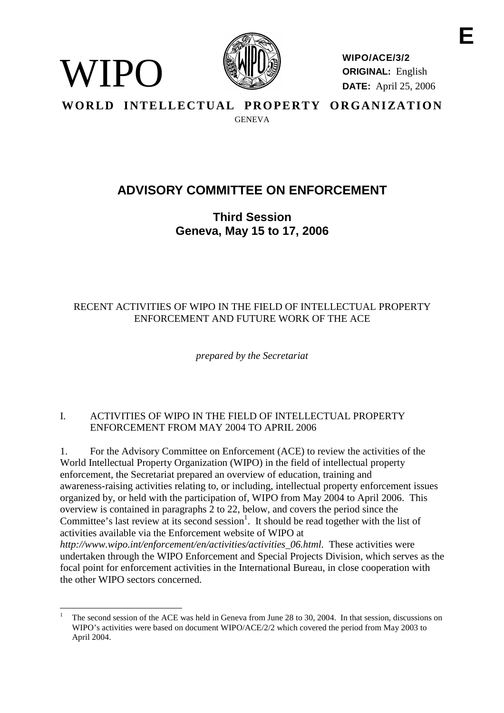

WIPO

**WIPO/ACE/3/2 ORIGINAL:** English **DATE:** April 25, 2006

WORLD INTELLECTUAL PROPERTY ORGANIZATION GENEVA

# **ADVISORY COMMITTEE ON ENFORCEMENT**

**Third Session Geneva, May 15 to 17, 2006**

## RECENT ACTIVITIES OF WIPO IN THE FIELD OF INTELLECTUAL PROPERTY ENFORCEMENT AND FUTURE WORK OF THE ACE

*prepared by the Secretariat*

#### I. ACTIVITIES OF WIPO IN THE FIELD OF INTELLECTUAL PROPERTY ENFORCEMENT FROM MAY 2004 TO APRIL 2006

1. For the Advisory Committee on Enforcement (ACE) to review the activities of the World Intellectual Property Organization (WIPO) in the field of intellectual property enforcement, the Secretariat prepared an overview of education, training and awareness-raising activities relating to, or including, intellectual property enforcement issues organized by, or held with the participation of, WIPO from May 2004 to April 2006. This overview is contained in paragraphs 2 to 22, below, and covers the period since the Committee's last review at its second session<sup>1</sup>. It should be read together with the list of activities available via the Enforcement website of WIPO at

*http://www.wipo.int/enforcement/en/activities/activities\_06.html*. These activities were undertaken through the WIPO Enforcement and Special Projects Division, which serves as the focal point for enforcement activities in the International Bureau, in close cooperation with the other WIPO sectors concerned.

<sup>1</sup> The second session of the ACE was held in Geneva from June 28 to 30, 2004. In that session, discussions on WIPO's activities were based on document WIPO/ACE/2/2 which covered the period from May 2003 to April 2004.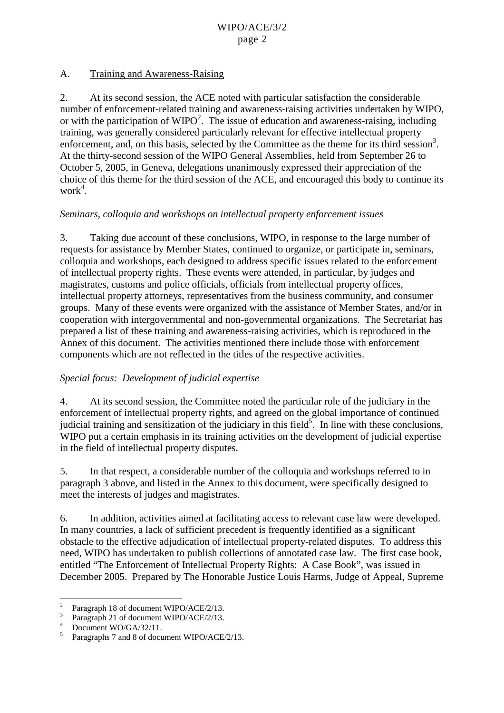#### A. Training and Awareness-Raising

2. At its second session, the ACE noted with particular satisfaction the considerable number of enforcement-related training and awareness-raising activities undertaken by WIPO, or with the participation of WIPO<sup>2</sup>. The issue of education and awareness-raising, including training, was generally considered particularly relevant for effective intellectual property enforcement, and, on this basis, selected by the Committee as the theme for its third session<sup>3</sup>. At the thirty-second session of the WIPO General Assemblies, held from September 26 to October 5, 2005, in Geneva, delegations unanimously expressed their appreciation of the choice of this theme for the third session of the ACE, and encouraged this body to continue its work<sup>4</sup>.

#### *Seminars, colloquia and workshops on intellectual property enforcement issues*

3. Taking due account of these conclusions, WIPO, in response to the large number of requests for assistance by Member States, continued to organize, or participate in, seminars, colloquia and workshops, each designed to address specific issues related to the enforcement of intellectual property rights. These events were attended, in particular, by judges and magistrates, customs and police officials, officials from intellectual property offices, intellectual property attorneys, representatives from the business community, and consumer groups. Many of these events were organized with the assistance of Member States, and/or in cooperation with intergovernmental and non-governmental organizations. The Secretariat has prepared a list of these training and awareness-raising activities, which is reproduced in the Annex of this document. The activities mentioned there include those with enforcement components which are not reflected in the titles of the respective activities.

#### *Special focus: Development of judicial expertise*

4. At its second session, the Committee noted the particular role of the judiciary in the enforcement of intellectual property rights, and agreed on the global importance of continued judicial training and sensitization of the judiciary in this field<sup>5</sup>. In line with these conclusions, WIPO put a certain emphasis in its training activities on the development of judicial expertise in the field of intellectual property disputes.

5. In that respect, a considerable number of the colloquia and workshops referred to in paragraph 3 above, and listed in the Annex to this document, were specifically designed to meet the interests of judges and magistrates.

6. In addition, activities aimed at facilitating access to relevant case law were developed. In many countries, a lack of sufficient precedent is frequently identified as a significant obstacle to the effective adjudication of intellectual property-related disputes. To address this need, WIPO has undertaken to publish collections of annotated case law. The first case book, entitled "The Enforcement of Intellectual Property Rights: A Case Book", was issued in December 2005. Prepared by The Honorable Justice Louis Harms, Judge of Appeal, Supreme

<sup>&</sup>lt;sup>2</sup> Paragraph 18 of document WIPO/ACE/2/13.<br><sup>4</sup> Document WO/GA/32/11.<br><sup>5</sup> Paragraphs 7 and 8 of document WIPO/ACE/2/13.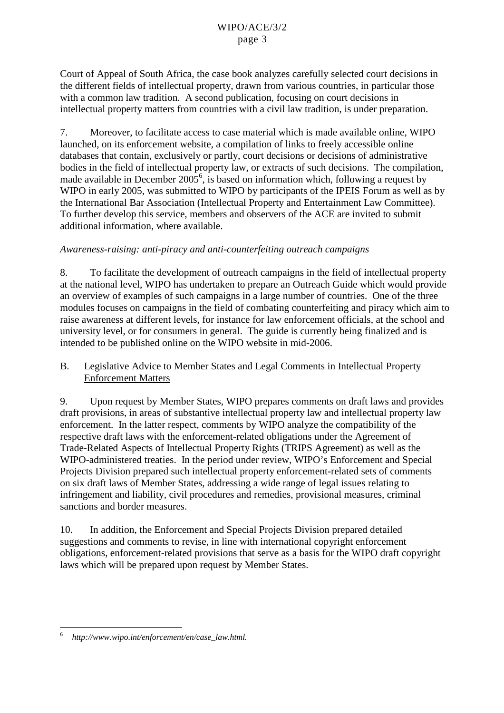Court of Appeal of South Africa, the case book analyzes carefully selected court decisions in the different fields of intellectual property, drawn from various countries, in particular those with a common law tradition. A second publication, focusing on court decisions in intellectual property matters from countries with a civil law tradition, is under preparation.

7. Moreover, to facilitate access to case material which is made available online, WIPO launched, on its enforcement website, a compilation of links to freely accessible online databases that contain, exclusively or partly, court decisions or decisions of administrative bodies in the field of intellectual property law, or extracts of such decisions. The compilation, made available in December  $2005^6$ , is based on information which, following a request by WIPO in early 2005, was submitted to WIPO by participants of the IPEIS Forum as well as by the International Bar Association (Intellectual Property and Entertainment Law Committee). To further develop this service, members and observers of the ACE are invited to submit additional information, where available.

#### *Awareness-raising: anti-piracy and anti-counterfeiting outreach campaigns*

8. To facilitate the development of outreach campaigns in the field of intellectual property at the national level, WIPO has undertaken to prepare an Outreach Guide which would provide an overview of examples of such campaigns in a large number of countries. One of the three modules focuses on campaigns in the field of combating counterfeiting and piracy which aim to raise awareness at different levels, for instance for law enforcement officials, at the school and university level, or for consumers in general. The guide is currently being finalized and is intended to be published online on the WIPO website in mid-2006.

#### B. Legislative Advice to Member States and Legal Comments in Intellectual Property Enforcement Matters

9. Upon request by Member States, WIPO prepares comments on draft laws and provides draft provisions, in areas of substantive intellectual property law and intellectual property law enforcement. In the latter respect, comments by WIPO analyze the compatibility of the respective draft laws with the enforcement-related obligations under the Agreement of Trade-Related Aspects of Intellectual Property Rights (TRIPS Agreement) as well as the WIPO-administered treaties. In the period under review, WIPO's Enforcement and Special Projects Division prepared such intellectual property enforcement-related sets of comments on six draft laws of Member States, addressing a wide range of legal issues relating to infringement and liability, civil procedures and remedies, provisional measures, criminal sanctions and border measures.

10. In addition, the Enforcement and Special Projects Division prepared detailed suggestions and comments to revise, in line with international copyright enforcement obligations, enforcement-related provisions that serve as a basis for the WIPO draft copyright laws which will be prepared upon request by Member States.

<sup>6</sup> *http://www.wipo.int/enforcement/en/case\_law.html.*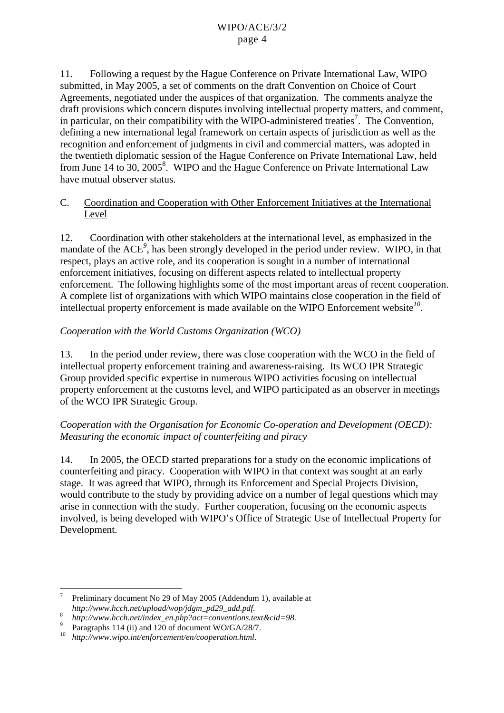11. Following a request by the Hague Conference on Private International Law, WIPO submitted, in May 2005, a set of comments on the draft Convention on Choice of Court Agreements, negotiated under the auspices of that organization. The comments analyze the draft provisions which concern disputes involving intellectual property matters, and comment, in particular, on their compatibility with the WIPO-administered treaties<sup>7</sup>. The Convention, defining a new international legal framework on certain aspects of jurisdiction as well as the recognition and enforcement of judgments in civil and commercial matters, was adopted in the twentieth diplomatic session of the Hague Conference on Private International Law, held from June 14 to 30, 2005<sup>8</sup>. WIPO and the Hague Conference on Private International Law have mutual observer status.

#### C. Coordination and Cooperation with Other Enforcement Initiatives at the International Level

12. Coordination with other stakeholders at the international level, as emphasized in the mandate of the ACE<sup>9</sup>, has been strongly developed in the period under review. WIPO, in that respect, plays an active role, and its cooperation is sought in a number of international enforcement initiatives, focusing on different aspects related to intellectual property enforcement. The following highlights some of the most important areas of recent cooperation. A complete list of organizations with which WIPO maintains close cooperation in the field of intellectual property enforcement is made available on the WIPO Enforcement website*<sup>10</sup>*.

#### *Cooperation with the World Customs Organization (WCO)*

13. In the period under review, there was close cooperation with the WCO in the field of intellectual property enforcement training and awareness-raising. Its WCO IPR Strategic Group provided specific expertise in numerous WIPO activities focusing on intellectual property enforcement at the customs level, and WIPO participated as an observer in meetings of the WCO IPR Strategic Group.

### *Cooperation with the Organisation for Economic Co-operation and Development (OECD): Measuring the economic impact of counterfeiting and piracy*

14. In 2005, the OECD started preparations for a study on the economic implications of counterfeiting and piracy. Cooperation with WIPO in that context was sought at an early stage. It was agreed that WIPO, through its Enforcement and Special Projects Division, would contribute to the study by providing advice on a number of legal questions which may arise in connection with the study. Further cooperation, focusing on the economic aspects involved, is being developed with WIPO's Office of Strategic Use of Intellectual Property for Development.

<sup>7</sup> Preliminary document No 29 of May 2005 (Addendum 1), available at

 $\substack{\text{http://www.hcch.net/upload/wop/jdgm_pd29\_add.pdf;}\\ \text{http://www.hcch.net/index_en.php?act=conventions.text@cid=98.}\\ \text{Paragraphs 114 (ii) and 120 of document WO/GA/28/7.}\\ \text{http://www.wipo.int/enforcement/en/cooperation.html.} \end{substack}$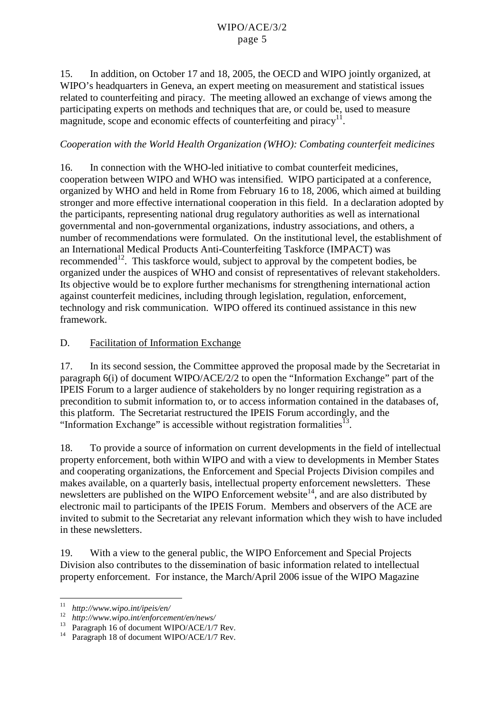#### WIPO/ACE/3/2 page 5

15. In addition, on October 17 and 18, 2005, the OECD and WIPO jointly organized, at WIPO's headquarters in Geneva, an expert meeting on measurement and statistical issues related to counterfeiting and piracy. The meeting allowed an exchange of views among the participating experts on methods and techniques that are, or could be, used to measure magnitude, scope and economic effects of counterfeiting and piracy<sup>11</sup>.

#### *Cooperation with the World Health Organization (WHO): Combating counterfeit medicines*

16. In connection with the WHO-led initiative to combat counterfeit medicines, cooperation between WIPO and WHO was intensified. WIPO participated at a conference, organized by WHO and held in Rome from February 16 to 18, 2006, which aimed at building stronger and more effective international cooperation in this field. In a declaration adopted by the participants, representing national drug regulatory authorities as well as international governmental and non-governmental organizations, industry associations, and others, a number of recommendations were formulated. On the institutional level, the establishment of an International Medical Products Anti-Counterfeiting Taskforce (IMPACT) was recommended<sup>12</sup>. This taskforce would, subject to approval by the competent bodies, be organized under the auspices of WHO and consist of representatives of relevant stakeholders. Its objective would be to explore further mechanisms for strengthening international action against counterfeit medicines, including through legislation, regulation, enforcement, technology and risk communication. WIPO offered its continued assistance in this new framework.

#### D. Facilitation of Information Exchange

17. In its second session, the Committee approved the proposal made by the Secretariat in paragraph 6(i) of document WIPO/ACE/2/2 to open the "Information Exchange" part of the IPEIS Forum to a larger audience of stakeholders by no longer requiring registration as a precondition to submit information to, or to access information contained in the databases of, this platform. The Secretariat restructured the IPEIS Forum accordingly, and the "Information Exchange" is accessible without registration formalities $^{13}$ .

18. To provide a source of information on current developments in the field of intellectual property enforcement, both within WIPO and with a view to developments in Member States and cooperating organizations, the Enforcement and Special Projects Division compiles and makes available, on a quarterly basis, intellectual property enforcement newsletters. These newsletters are published on the WIPO Enforcement website $14$ , and are also distributed by electronic mail to participants of the IPEIS Forum. Members and observers of the ACE are invited to submit to the Secretariat any relevant information which they wish to have included in these newsletters.

19. With a view to the general public, the WIPO Enforcement and Special Projects Division also contributes to the dissemination of basic information related to intellectual property enforcement. For instance, the March/April 2006 issue of the WIPO Magazine

<sup>&</sup>lt;sup>11</sup> *http://www.wipo.int/ipeis/en/*<br><sup>12</sup> *http://www.wipo.int/enforcement/en/news/*<br><sup>13</sup> Paragraph 16 of document WIPO/ACE/1/7 Rev.<br><sup>14</sup> Paragraph 18 of document WIPO/ACE/1/7 Rev.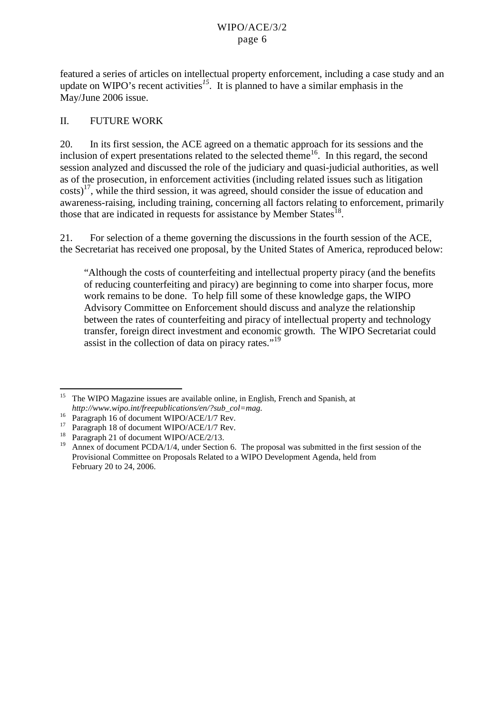featured a series of articles on intellectual property enforcement, including a case study and an update on WIPO's recent activities<sup> $15$ </sup>. It is planned to have a similar emphasis in the May/June 2006 issue.

#### II. FUTURE WORK

20. In its first session, the ACE agreed on a thematic approach for its sessions and the inclusion of expert presentations related to the selected theme<sup>16</sup>. In this regard, the second session analyzed and discussed the role of the judiciary and quasi-judicial authorities, as well as of the prosecution, in enforcement activities (including related issues such as litigation  $costs$ <sup>17</sup>, while the third session, it was agreed, should consider the issue of education and awareness-raising, including training, concerning all factors relating to enforcement, primarily those that are indicated in requests for assistance by Member States<sup>18</sup>.

21. For selection of a theme governing the discussions in the fourth session of the ACE, the Secretariat has received one proposal, by the United States of America, reproduced below:

"Although the costs of counterfeiting and intellectual property piracy (and the benefits of reducing counterfeiting and piracy) are beginning to come into sharper focus, more work remains to be done. To help fill some of these knowledge gaps, the WIPO Advisory Committee on Enforcement should discuss and analyze the relationship between the rates of counterfeiting and piracy of intellectual property and technology transfer, foreign direct investment and economic growth. The WIPO Secretariat could assist in the collection of data on piracy rates."<sup>19</sup>

<sup>&</sup>lt;sup>15</sup> The WIPO Magazine issues are available online, in English, French and Spanish, at *http://www.wipo.int/freepublications/en/?sub\_col=mag.* Paragraph 16 of document WIPO/ACE/1/7 Rev. 17 Paragraph 18 of document WIPO/ACE/2/13.

<sup>&</sup>lt;sup>19</sup> Annex of document PCDA/1/4, under Section 6. The proposal was submitted in the first session of the Provisional Committee on Proposals Related to a WIPO Development Agenda, held from February 20 to 24, 2006.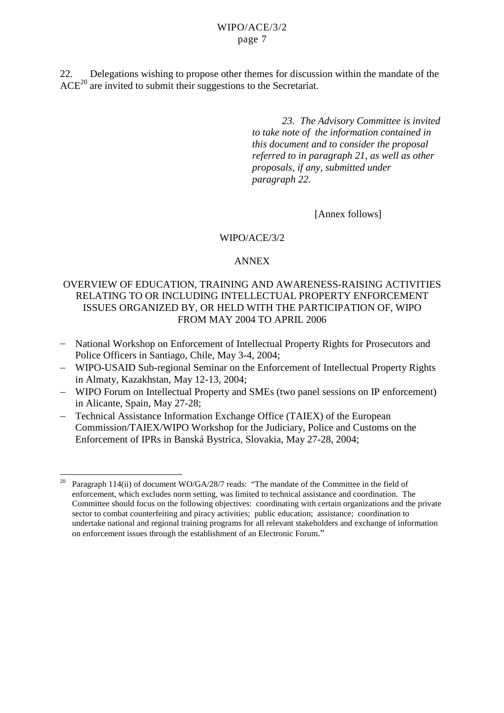#### WIPO/ACE/3/2 page 7

22. Delegations wishing to propose other themes for discussion within the mandate of the  $ACE<sup>20</sup>$  are invited to submit their suggestions to the Secretariat.

> *23. The Advisory Committee is invited to take note of the information contained in this document and to consider the proposal referred to in paragraph 21, as well as other proposals, if any, submitted under paragraph 22.*

> > [Annex follows]

#### WIPO/ACE/3/2

#### ANNEX

#### OVERVIEW OF EDUCATION, TRAINING AND AWARENESS-RAISING ACTIVITIES RELATING TO OR INCLUDING INTELLECTUAL PROPERTY ENFORCEMENT ISSUES ORGANIZED BY, OR HELD WITH THE PARTICIPATION OF, WIPO FROM MAY 2004 TO APRIL 2006

- National Workshop on Enforcement of Intellectual Property Rights for Prosecutors and Police Officers in Santiago, Chile, May 3-4, 2004;
- WIPO-USAID Sub-regional Seminar on the Enforcement of Intellectual Property Rights in Almaty, Kazakhstan, May 12-13, 2004;
- WIPO Forum on Intellectual Property and SMEs (two panel sessions on IP enforcement) in Alicante, Spain, May 27-28;
- Technical Assistance Information Exchange Office (TAIEX) of the European Commission/TAIEX/WIPO Workshop for the Judiciary, Police and Customs on the Enforcement of IPRs in Banská Bystrica, Slovakia, May 27-28, 2004;

<sup>&</sup>lt;sup>20</sup> Paragraph 114(ii) of document WO/GA/28/7 reads: "The mandate of the Committee in the field of enforcement, which excludes norm setting, was limited to technical assistance and coordination. The Committee should focus on the following objectives: coordinating with certain organizations and the private sector to combat counterfeiting and piracy activities; public education; assistance; coordination to undertake national and regional training programs for all relevant stakeholders and exchange of information on enforcement issues through the establishment of an Electronic Forum."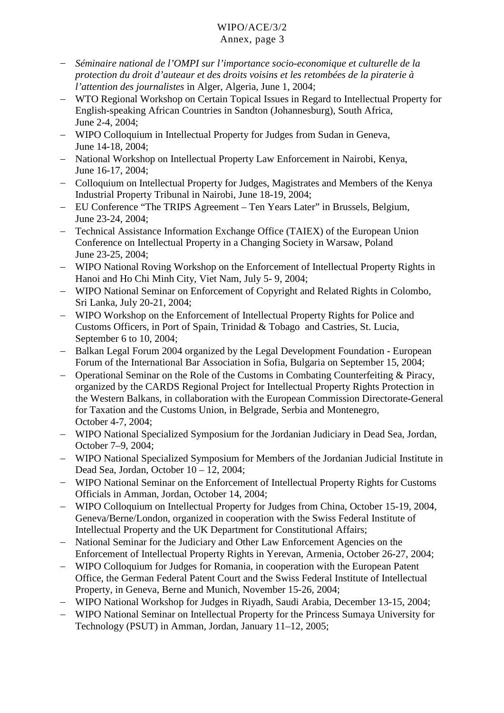## WIPO/ACE/3/2

#### Annex, page 3

- *Séminaire national de l'OMPI sur l'importance socio-economique et culturelle de la protection du droit d'auteaur et des droits voisins et les retombées de la piraterie à l'attention des journalistes* in Alger, Algeria, June 1, 2004;
- WTO Regional Workshop on Certain Topical Issues in Regard to Intellectual Property for English-speaking African Countries in Sandton (Johannesburg), South Africa, June 2-4, 2004;
- WIPO Colloquium in Intellectual Property for Judges from Sudan in Geneva, June 14-18, 2004;
- National Workshop on Intellectual Property Law Enforcement in Nairobi, Kenya, June 16-17, 2004;
- Colloquium on Intellectual Property for Judges, Magistrates and Members of the Kenya Industrial Property Tribunal in Nairobi, June 18-19, 2004;
- EU Conference "The TRIPS Agreement Ten Years Later" in Brussels, Belgium, June 23-24, 2004;
- Technical Assistance Information Exchange Office (TAIEX) of the European Union Conference on Intellectual Property in a Changing Society in Warsaw, Poland June 23-25, 2004;
- WIPO National Roving Workshop on the Enforcement of Intellectual Property Rights in Hanoi and Ho Chi Minh City, Viet Nam, July 5- 9, 2004;
- WIPO National Seminar on Enforcement of Copyright and Related Rights in Colombo, Sri Lanka, July 20-21, 2004;
- WIPO Workshop on the Enforcement of Intellectual Property Rights for Police and Customs Officers, in Port of Spain, Trinidad & Tobago and Castries, St. Lucia, September 6 to 10, 2004:
- Balkan Legal Forum 2004 organized by the Legal Development Foundation European Forum of the International Bar Association in Sofia, Bulgaria on September 15, 2004;
- Operational Seminar on the Role of the Customs in Combating Counterfeiting & Piracy, organized by the CARDS Regional Project for Intellectual Property Rights Protection in the Western Balkans, in collaboration with the European Commission Directorate-General for Taxation and the Customs Union, in Belgrade, Serbia and Montenegro, October 4-7, 2004;
- WIPO National Specialized Symposium for the Jordanian Judiciary in Dead Sea, Jordan, October 7–9, 2004;
- WIPO National Specialized Symposium for Members of the Jordanian Judicial Institute in Dead Sea, Jordan, October 10 – 12, 2004;
- WIPO National Seminar on the Enforcement of Intellectual Property Rights for Customs Officials in Amman, Jordan, October 14, 2004;
- WIPO Colloquium on Intellectual Property for Judges from China, October 15-19, 2004, Geneva/Berne/London, organized in cooperation with the Swiss Federal Institute of Intellectual Property and the UK Department for Constitutional Affairs;
- National Seminar for the Judiciary and Other Law Enforcement Agencies on the Enforcement of Intellectual Property Rights in Yerevan, Armenia, October 26-27, 2004;
- WIPO Colloquium for Judges for Romania, in cooperation with the European Patent Office, the German Federal Patent Court and the Swiss Federal Institute of Intellectual Property, in Geneva, Berne and Munich, November 15-26, 2004;
- WIPO National Workshop for Judges in Riyadh, Saudi Arabia, December 13-15, 2004;
- WIPO National Seminar on Intellectual Property for the Princess Sumaya University for Technology (PSUT) in Amman, Jordan, January 11–12, 2005;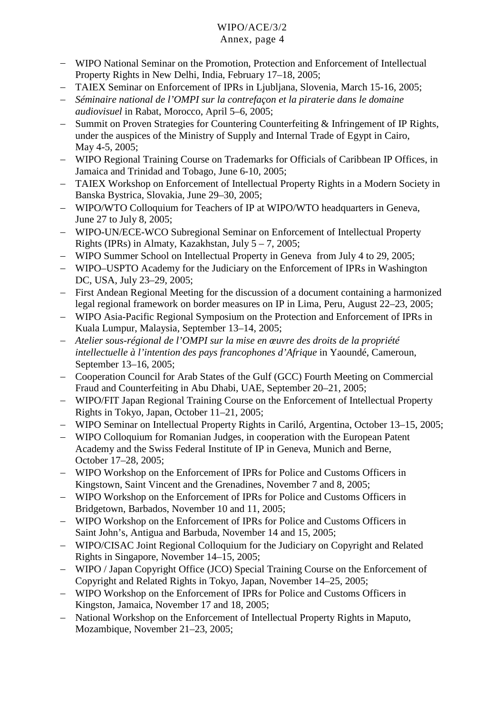# WIPO/ACE/3/2

#### Annex, page 4

- WIPO National Seminar on the Promotion, Protection and Enforcement of Intellectual Property Rights in New Delhi, India, February 17–18, 2005;
- TAIEX Seminar on Enforcement of IPRs in Ljubljana, Slovenia, March 15-16, 2005;
- *Séminaire national de l'OMPI sur la contrefaçon et la piraterie dans le domaine audiovisuel* in Rabat, Morocco, April 5–6, 2005;
- Summit on Proven Strategies for Countering Counterfeiting & Infringement of IP Rights, under the auspices of the Ministry of Supply and Internal Trade of Egypt in Cairo, May 4-5, 2005;
- WIPO Regional Training Course on Trademarks for Officials of Caribbean IP Offices, in Jamaica and Trinidad and Tobago, June 6-10, 2005;
- TAIEX Workshop on Enforcement of Intellectual Property Rights in a Modern Society in Banska Bystrica, Slovakia, June 29–30, 2005;
- WIPO/WTO Colloquium for Teachers of IP at WIPO/WTO headquarters in Geneva, June 27 to July 8, 2005;
- WIPO-UN/ECE-WCO Subregional Seminar on Enforcement of Intellectual Property Rights (IPRs) in Almaty, Kazakhstan, July 5 – 7, 2005;
- WIPO Summer School on Intellectual Property in Geneva from July 4 to 29, 2005;
- WIPO–USPTO Academy for the Judiciary on the Enforcement of IPRs in Washington DC, USA, July 23–29, 2005;
- First Andean Regional Meeting for the discussion of a document containing a harmonized legal regional framework on border measures on IP in Lima, Peru, August 22–23, 2005;
- WIPO Asia-Pacific Regional Symposium on the Protection and Enforcement of IPRs in Kuala Lumpur, Malaysia, September 13–14, 2005;
- *Atelier sous-régional de l'OMPI sur la mise en œuvre des droits de la propriété intellectuelle à l'intention des pays francophones d'Afrique* in Yaoundé, Cameroun, September 13–16, 2005;
- Cooperation Council for Arab States of the Gulf (GCC) Fourth Meeting on Commercial Fraud and Counterfeiting in Abu Dhabi, UAE, September 20–21, 2005;
- WIPO/FIT Japan Regional Training Course on the Enforcement of Intellectual Property Rights in Tokyo, Japan, October 11–21, 2005;
- WIPO Seminar on Intellectual Property Rights in Cariló, Argentina, October 13–15, 2005;
- WIPO Colloquium for Romanian Judges, in cooperation with the European Patent Academy and the Swiss Federal Institute of IP in Geneva, Munich and Berne, October 17–28, 2005;
- WIPO Workshop on the Enforcement of IPRs for Police and Customs Officers in Kingstown, Saint Vincent and the Grenadines, November 7 and 8, 2005;
- WIPO Workshop on the Enforcement of IPRs for Police and Customs Officers in Bridgetown, Barbados, November 10 and 11, 2005;
- WIPO Workshop on the Enforcement of IPRs for Police and Customs Officers in Saint John's, Antigua and Barbuda, November 14 and 15, 2005;
- WIPO/CISAC Joint Regional Colloquium for the Judiciary on Copyright and Related Rights in Singapore, November 14–15, 2005;
- WIPO / Japan Copyright Office (JCO) Special Training Course on the Enforcement of Copyright and Related Rights in Tokyo, Japan, November 14–25, 2005;
- WIPO Workshop on the Enforcement of IPRs for Police and Customs Officers in Kingston, Jamaica, November 17 and 18, 2005;
- National Workshop on the Enforcement of Intellectual Property Rights in Maputo, Mozambique, November 21–23, 2005;